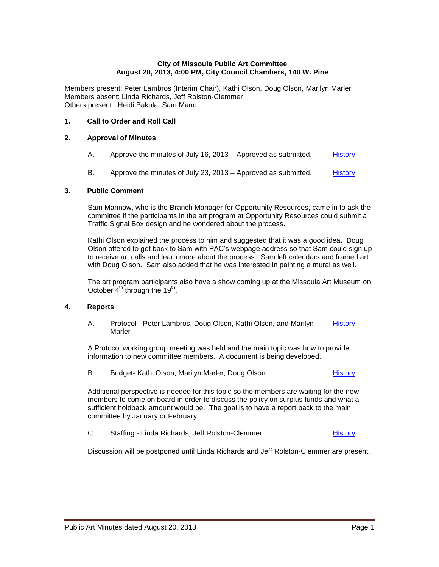### **City of Missoula Public Art Committee August 20, 2013, 4:00 PM, City Council Chambers, 140 W. Pine**

Members present: Peter Lambros (Interim Chair), Kathi Olson, Doug Olson, Marilyn Marler Members absent: Linda Richards, Jeff Rolston-Clemmer Others present: Heidi Bakula, Sam Mano

## **1. Call to Order and Roll Call**

## **2. Approval of Minutes**

- A. Approve the minutes of July 16, 2013 Approved as submitted. [History](http://missoula.siretechnologies.com/sirepub/item.aspx?itemid=12909)
- B. Approve the minutes of July 23, 2013 Approved as submitted. [History](http://missoula.siretechnologies.com/sirepub/item.aspx?itemid=12910)

### **3. Public Comment**

Sam Mannow, who is the Branch Manager for Opportunity Resources, came in to ask the committee if the participants in the art program at Opportunity Resources could submit a Traffic Signal Box design and he wondered about the process.

Kathi Olson explained the process to him and suggested that it was a good idea. Doug Olson offered to get back to Sam with PAC's webpage address so that Sam could sign up to receive art calls and learn more about the process. Sam left calendars and framed art with Doug Olson. Sam also added that he was interested in painting a mural as well.

The art program participants also have a show coming up at the Missoula Art Museum on October 4<sup>th</sup> through the 19<sup>th</sup>.

## **4. Reports**

A. Protocol - Peter Lambros, Doug Olson, Kathi Olson, and Marilyn Marler **[History](http://missoula.siretechnologies.com/sirepub/item.aspx?itemid=12896)** 

A Protocol working group meeting was held and the main topic was how to provide information to new committee members. A document is being developed.

B. Budget- Kathi Olson, Marilyn Marler, Doug Olson [History](http://missoula.siretechnologies.com/sirepub/item.aspx?itemid=12897)

Additional perspective is needed for this topic so the members are waiting for the new members to come on board in order to discuss the policy on surplus funds and what a sufficient holdback amount would be. The goal is to have a report back to the main committee by January or February.

C. Staffing - Linda Richards, Jeff Rolston-Clemmer [History](http://missoula.siretechnologies.com/sirepub/item.aspx?itemid=12899)

Discussion will be postponed until Linda Richards and Jeff Rolston-Clemmer are present.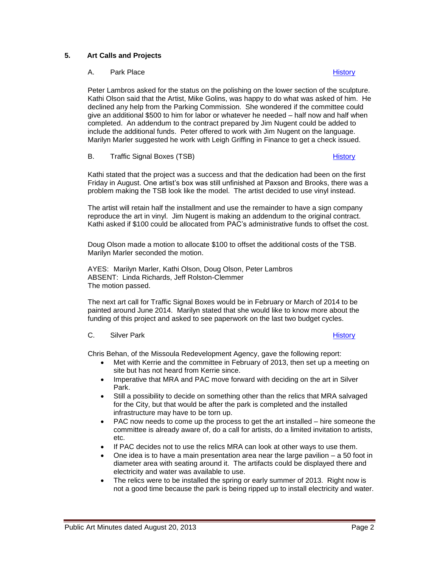# **5. Art Calls and Projects**

## A. Park Place **[History](http://missoula.siretechnologies.com/sirepub/item.aspx?itemid=13007) History History History**

Peter Lambros asked for the status on the polishing on the lower section of the sculpture. Kathi Olson said that the Artist, Mike Golins, was happy to do what was asked of him. He declined any help from the Parking Commission. She wondered if the committee could give an additional \$500 to him for labor or whatever he needed – half now and half when completed. An addendum to the contract prepared by Jim Nugent could be added to include the additional funds. Peter offered to work with Jim Nugent on the language. Marilyn Marler suggested he work with Leigh Griffing in Finance to get a check issued.

## B. Traffic Signal Boxes (TSB) [History](http://missoula.siretechnologies.com/sirepub/item.aspx?itemid=13008) History History History History History History

Kathi stated that the project was a success and that the dedication had been on the first Friday in August. One artist's box was still unfinished at Paxson and Brooks, there was a problem making the TSB look like the model. The artist decided to use vinyl instead.

The artist will retain half the installment and use the remainder to have a sign company reproduce the art in vinyl. Jim Nugent is making an addendum to the original contract. Kathi asked if \$100 could be allocated from PAC's administrative funds to offset the cost.

Doug Olson made a motion to allocate \$100 to offset the additional costs of the TSB. Marilyn Marler seconded the motion.

AYES: Marilyn Marler, Kathi Olson, Doug Olson, Peter Lambros ABSENT: Linda Richards, Jeff Rolston-Clemmer The motion passed.

The next art call for Traffic Signal Boxes would be in February or March of 2014 to be painted around June 2014. Marilyn stated that she would like to know more about the funding of this project and asked to see paperwork on the last two budget cycles.

### C. Silver Park [History](http://missoula.siretechnologies.com/sirepub/item.aspx?itemid=13009) and The Contract of the Silver Park History and The Silver Park History and The Silver Park History

Chris Behan, of the Missoula Redevelopment Agency, gave the following report:

- Met with Kerrie and the committee in February of 2013, then set up a meeting on site but has not heard from Kerrie since.
- Imperative that MRA and PAC move forward with deciding on the art in Silver Park.
- Still a possibility to decide on something other than the relics that MRA salvaged for the City, but that would be after the park is completed and the installed infrastructure may have to be torn up.
- PAC now needs to come up the process to get the art installed hire someone the committee is already aware of, do a call for artists, do a limited invitation to artists, etc.
- If PAC decides not to use the relics MRA can look at other ways to use them.
- $\bullet$  One idea is to have a main presentation area near the large pavilion  $-$  a 50 foot in diameter area with seating around it. The artifacts could be displayed there and electricity and water was available to use.
- The relics were to be installed the spring or early summer of 2013. Right now is not a good time because the park is being ripped up to install electricity and water.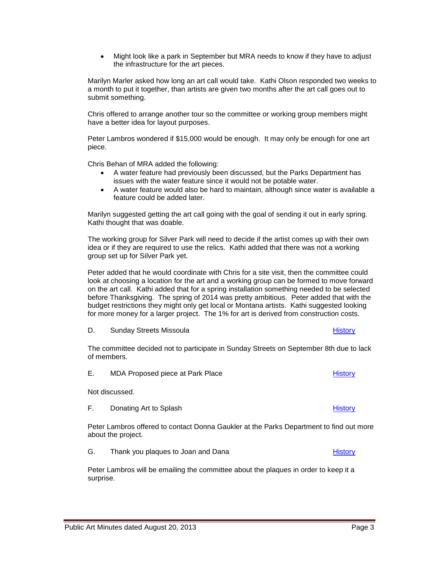Public Art Minutes dated August 20, 2013 **Page 3** Page 3

the infrastructure for the art pieces.

Might look like a park in September but MRA needs to know if they have to adjust

Marilyn Marler asked how long an art call would take. Kathi Olson responded two weeks to a month to put it together, than artists are given two months after the art call goes out to submit something.

Chris offered to arrange another tour so the committee or working group members might have a better idea for layout purposes.

Peter Lambros wondered if \$15,000 would be enough. It may only be enough for one art piece.

Chris Behan of MRA added the following:

- A water feature had previously been discussed, but the Parks Department has issues with the water feature since it would not be potable water.
- A water feature would also be hard to maintain, although since water is available a feature could be added later.

Marilyn suggested getting the art call going with the goal of sending it out in early spring. Kathi thought that was doable.

The working group for Silver Park will need to decide if the artist comes up with their own idea or if they are required to use the relics. Kathi added that there was not a working group set up for Silver Park yet.

Peter added that he would coordinate with Chris for a site visit, then the committee could look at choosing a location for the art and a working group can be formed to move forward on the art call. Kathi added that for a spring installation something needed to be selected before Thanksgiving. The spring of 2014 was pretty ambitious. Peter added that with the budget restrictions they might only get local or Montana artists. Kathi suggested looking for more money for a larger project. The 1% for art is derived from construction costs.

D. Sunday Streets Missoula **[History](http://missoula.siretechnologies.com/sirepub/item.aspx?itemid=13010)** History **History** History

The committee decided not to participate in Sunday Streets on September 8th due to lack of members.

E. MDA Proposed piece at Park Place [History](http://missoula.siretechnologies.com/sirepub/item.aspx?itemid=13011) History

Not discussed.

F. Donating Art to Splash [History](http://missoula.siretechnologies.com/sirepub/item.aspx?itemid=13015) History

Peter Lambros offered to contact Donna Gaukler at the Parks Department to find out more about the project.

G. Thank you plaques to Joan and Dana **[History](http://missoula.siretechnologies.com/sirepub/item.aspx?itemid=13016)** History

Peter Lambros will be emailing the committee about the plaques in order to keep it a surprise.